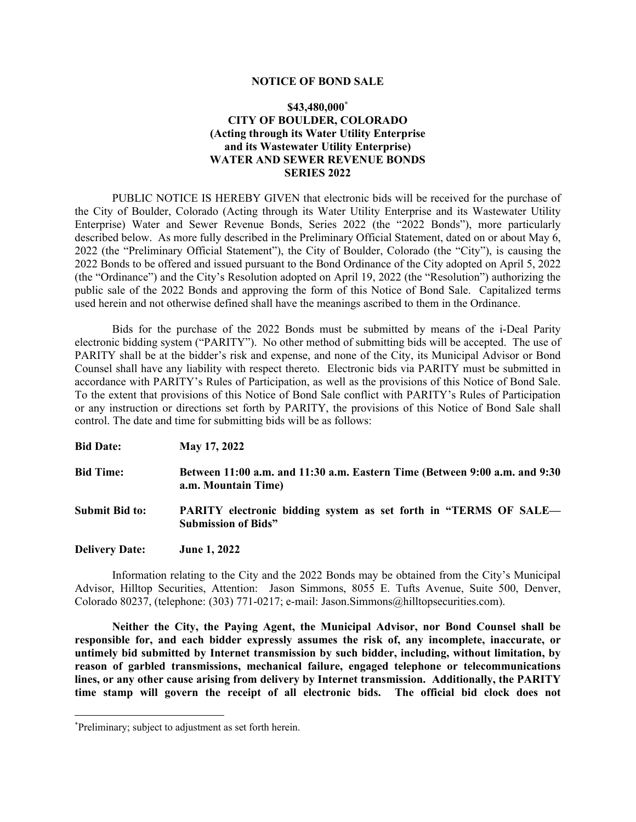#### **NOTICE OF BOND SALE**

# **\$43,480,000\* CITY OF BOULDER, COLORADO (Acting through its Water Utility Enterprise and its Wastewater Utility Enterprise) WATER AND SEWER REVENUE BONDS SERIES 2022**

PUBLIC NOTICE IS HEREBY GIVEN that electronic bids will be received for the purchase of the City of Boulder, Colorado (Acting through its Water Utility Enterprise and its Wastewater Utility Enterprise) Water and Sewer Revenue Bonds, Series 2022 (the "2022 Bonds"), more particularly described below. As more fully described in the Preliminary Official Statement, dated on or about May 6, 2022 (the "Preliminary Official Statement"), the City of Boulder, Colorado (the "City"), is causing the 2022 Bonds to be offered and issued pursuant to the Bond Ordinance of the City adopted on April 5, 2022 (the "Ordinance") and the City's Resolution adopted on April 19, 2022 (the "Resolution") authorizing the public sale of the 2022 Bonds and approving the form of this Notice of Bond Sale. Capitalized terms used herein and not otherwise defined shall have the meanings ascribed to them in the Ordinance.

Bids for the purchase of the 2022 Bonds must be submitted by means of the i-Deal Parity electronic bidding system ("PARITY"). No other method of submitting bids will be accepted. The use of PARITY shall be at the bidder's risk and expense, and none of the City, its Municipal Advisor or Bond Counsel shall have any liability with respect thereto. Electronic bids via PARITY must be submitted in accordance with PARITY's Rules of Participation, as well as the provisions of this Notice of Bond Sale. To the extent that provisions of this Notice of Bond Sale conflict with PARITY's Rules of Participation or any instruction or directions set forth by PARITY, the provisions of this Notice of Bond Sale shall control. The date and time for submitting bids will be as follows:

**Bid Date: May 17, 2022** 

- **Bid Time: Between 11:00 a.m. and 11:30 a.m. Eastern Time (Between 9:00 a.m. and 9:30 a.m. Mountain Time)**
- **Submit Bid to: PARITY electronic bidding system as set forth in "TERMS OF SALE— Submission of Bids"**
- **Delivery Date: June 1, 2022**

Information relating to the City and the 2022 Bonds may be obtained from the City's Municipal Advisor, Hilltop Securities, Attention: Jason Simmons, 8055 E. Tufts Avenue, Suite 500, Denver, Colorado 80237, (telephone: (303) 771-0217; e-mail: Jason.Simmons@hilltopsecurities.com).

**Neither the City, the Paying Agent, the Municipal Advisor, nor Bond Counsel shall be responsible for, and each bidder expressly assumes the risk of, any incomplete, inaccurate, or untimely bid submitted by Internet transmission by such bidder, including, without limitation, by reason of garbled transmissions, mechanical failure, engaged telephone or telecommunications lines, or any other cause arising from delivery by Internet transmission. Additionally, the PARITY time stamp will govern the receipt of all electronic bids. The official bid clock does not** 

<sup>\*</sup> Preliminary; subject to adjustment as set forth herein.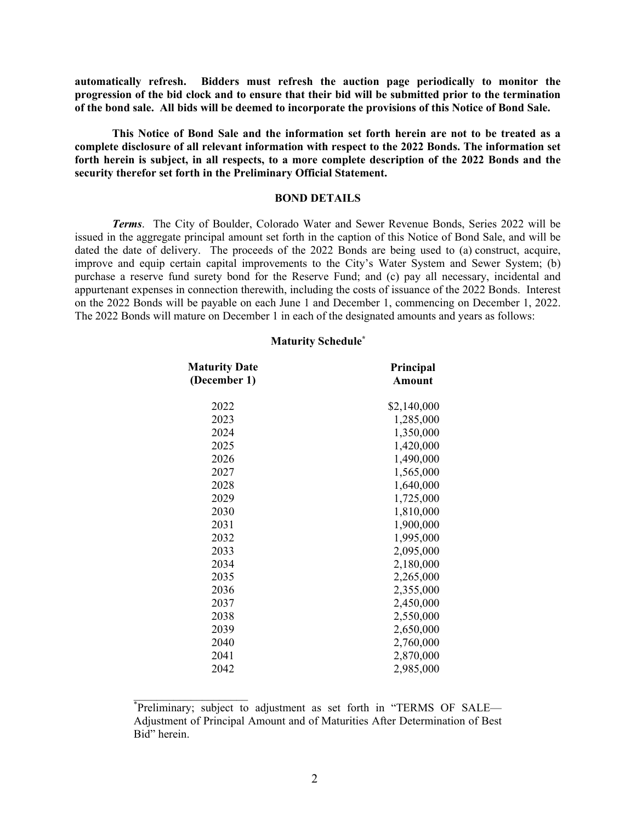**automatically refresh. Bidders must refresh the auction page periodically to monitor the progression of the bid clock and to ensure that their bid will be submitted prior to the termination of the bond sale. All bids will be deemed to incorporate the provisions of this Notice of Bond Sale.** 

**This Notice of Bond Sale and the information set forth herein are not to be treated as a complete disclosure of all relevant information with respect to the 2022 Bonds. The information set forth herein is subject, in all respects, to a more complete description of the 2022 Bonds and the security therefor set forth in the Preliminary Official Statement.** 

#### **BOND DETAILS**

*Terms*. The City of Boulder, Colorado Water and Sewer Revenue Bonds, Series 2022 will be issued in the aggregate principal amount set forth in the caption of this Notice of Bond Sale, and will be dated the date of delivery. The proceeds of the 2022 Bonds are being used to (a) construct, acquire, improve and equip certain capital improvements to the City's Water System and Sewer System; (b) purchase a reserve fund surety bond for the Reserve Fund; and (c) pay all necessary, incidental and appurtenant expenses in connection therewith, including the costs of issuance of the 2022 Bonds. Interest on the 2022 Bonds will be payable on each June 1 and December 1, commencing on December 1, 2022. The 2022 Bonds will mature on December 1 in each of the designated amounts and years as follows:

#### **Maturity Schedule\***

| <b>Maturity Date</b><br>(December 1) | Principal<br><b>Amount</b> |  |
|--------------------------------------|----------------------------|--|
| 2022                                 | \$2,140,000                |  |
| 2023                                 | 1,285,000                  |  |
| 2024                                 | 1,350,000                  |  |
| 2025                                 | 1,420,000                  |  |
| 2026                                 | 1,490,000                  |  |
| 2027                                 | 1,565,000                  |  |
| 2028                                 | 1,640,000                  |  |
| 2029                                 | 1,725,000                  |  |
| 2030                                 | 1,810,000                  |  |
| 2031                                 | 1,900,000                  |  |
| 2032                                 | 1,995,000                  |  |
| 2033                                 | 2,095,000                  |  |
| 2034                                 | 2,180,000                  |  |
| 2035                                 | 2,265,000                  |  |
| 2036                                 | 2,355,000                  |  |
| 2037                                 | 2,450,000                  |  |
| 2038                                 | 2,550,000                  |  |
| 2039                                 | 2,650,000                  |  |
| 2040                                 | 2,760,000                  |  |
| 2041                                 | 2,870,000                  |  |
| 2042                                 | 2,985,000                  |  |

<sup>\*</sup> Preliminary; subject to adjustment as set forth in "TERMS OF SALE— Adjustment of Principal Amount and of Maturities After Determination of Best Bid" herein.

 $\mathcal{L}_\text{max}$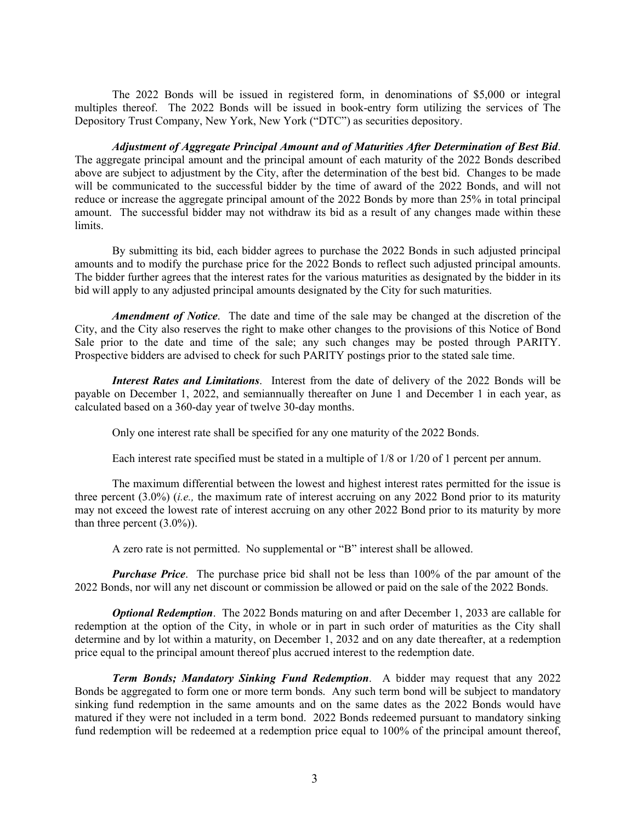The 2022 Bonds will be issued in registered form, in denominations of \$5,000 or integral multiples thereof. The 2022 Bonds will be issued in book-entry form utilizing the services of The Depository Trust Company, New York, New York ("DTC") as securities depository.

*Adjustment of Aggregate Principal Amount and of Maturities After Determination of Best Bid*. The aggregate principal amount and the principal amount of each maturity of the 2022 Bonds described above are subject to adjustment by the City, after the determination of the best bid. Changes to be made will be communicated to the successful bidder by the time of award of the 2022 Bonds, and will not reduce or increase the aggregate principal amount of the 2022 Bonds by more than 25% in total principal amount. The successful bidder may not withdraw its bid as a result of any changes made within these limits.

By submitting its bid, each bidder agrees to purchase the 2022 Bonds in such adjusted principal amounts and to modify the purchase price for the 2022 Bonds to reflect such adjusted principal amounts. The bidder further agrees that the interest rates for the various maturities as designated by the bidder in its bid will apply to any adjusted principal amounts designated by the City for such maturities.

*Amendment of Notice*. The date and time of the sale may be changed at the discretion of the City, and the City also reserves the right to make other changes to the provisions of this Notice of Bond Sale prior to the date and time of the sale; any such changes may be posted through PARITY. Prospective bidders are advised to check for such PARITY postings prior to the stated sale time.

*Interest Rates and Limitations*. Interest from the date of delivery of the 2022 Bonds will be payable on December 1, 2022, and semiannually thereafter on June 1 and December 1 in each year, as calculated based on a 360-day year of twelve 30-day months.

Only one interest rate shall be specified for any one maturity of the 2022 Bonds.

Each interest rate specified must be stated in a multiple of 1/8 or 1/20 of 1 percent per annum.

The maximum differential between the lowest and highest interest rates permitted for the issue is three percent (3.0%) (*i.e.,* the maximum rate of interest accruing on any 2022 Bond prior to its maturity may not exceed the lowest rate of interest accruing on any other 2022 Bond prior to its maturity by more than three percent  $(3.0\%)$ .

A zero rate is not permitted. No supplemental or "B" interest shall be allowed.

*Purchase Price.* The purchase price bid shall not be less than 100% of the par amount of the 2022 Bonds, nor will any net discount or commission be allowed or paid on the sale of the 2022 Bonds.

*Optional Redemption.* The 2022 Bonds maturing on and after December 1, 2033 are callable for redemption at the option of the City, in whole or in part in such order of maturities as the City shall determine and by lot within a maturity, on December 1, 2032 and on any date thereafter, at a redemption price equal to the principal amount thereof plus accrued interest to the redemption date.

*Term Bonds; Mandatory Sinking Fund Redemption*. A bidder may request that any 2022 Bonds be aggregated to form one or more term bonds. Any such term bond will be subject to mandatory sinking fund redemption in the same amounts and on the same dates as the 2022 Bonds would have matured if they were not included in a term bond. 2022 Bonds redeemed pursuant to mandatory sinking fund redemption will be redeemed at a redemption price equal to 100% of the principal amount thereof,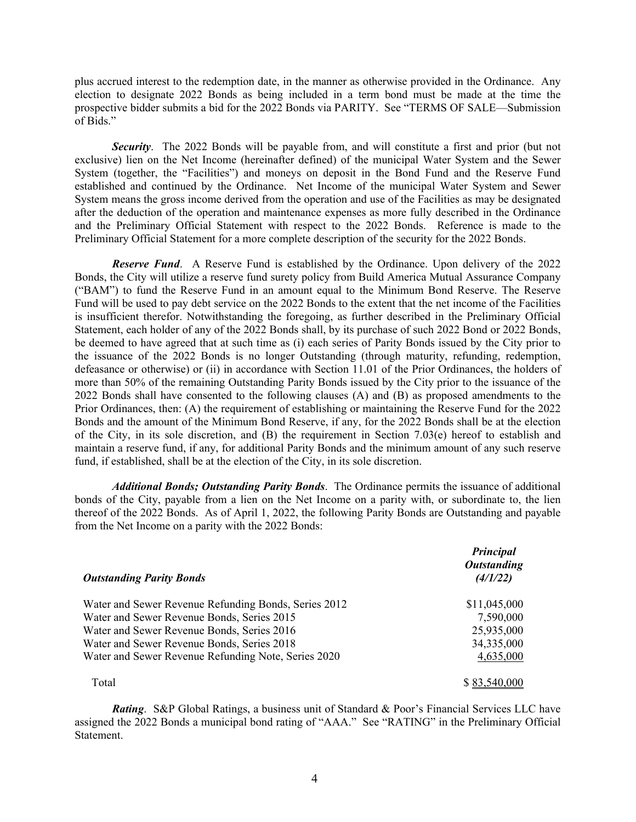plus accrued interest to the redemption date, in the manner as otherwise provided in the Ordinance. Any election to designate 2022 Bonds as being included in a term bond must be made at the time the prospective bidder submits a bid for the 2022 Bonds via PARITY. See "TERMS OF SALE—Submission of Bids."

*Security*.The 2022 Bonds will be payable from, and will constitute a first and prior (but not exclusive) lien on the Net Income (hereinafter defined) of the municipal Water System and the Sewer System (together, the "Facilities") and moneys on deposit in the Bond Fund and the Reserve Fund established and continued by the Ordinance. Net Income of the municipal Water System and Sewer System means the gross income derived from the operation and use of the Facilities as may be designated after the deduction of the operation and maintenance expenses as more fully described in the Ordinance and the Preliminary Official Statement with respect to the 2022 Bonds. Reference is made to the Preliminary Official Statement for a more complete description of the security for the 2022 Bonds.

*Reserve Fund*. A Reserve Fund is established by the Ordinance. Upon delivery of the 2022 Bonds, the City will utilize a reserve fund surety policy from Build America Mutual Assurance Company ("BAM") to fund the Reserve Fund in an amount equal to the Minimum Bond Reserve. The Reserve Fund will be used to pay debt service on the 2022 Bonds to the extent that the net income of the Facilities is insufficient therefor. Notwithstanding the foregoing, as further described in the Preliminary Official Statement, each holder of any of the 2022 Bonds shall, by its purchase of such 2022 Bond or 2022 Bonds, be deemed to have agreed that at such time as (i) each series of Parity Bonds issued by the City prior to the issuance of the 2022 Bonds is no longer Outstanding (through maturity, refunding, redemption, defeasance or otherwise) or (ii) in accordance with Section 11.01 of the Prior Ordinances, the holders of more than 50% of the remaining Outstanding Parity Bonds issued by the City prior to the issuance of the 2022 Bonds shall have consented to the following clauses (A) and (B) as proposed amendments to the Prior Ordinances, then: (A) the requirement of establishing or maintaining the Reserve Fund for the 2022 Bonds and the amount of the Minimum Bond Reserve, if any, for the 2022 Bonds shall be at the election of the City, in its sole discretion, and (B) the requirement in Section 7.03(e) hereof to establish and maintain a reserve fund, if any, for additional Parity Bonds and the minimum amount of any such reserve fund, if established, shall be at the election of the City, in its sole discretion.

*Additional Bonds; Outstanding Parity Bonds*. The Ordinance permits the issuance of additional bonds of the City, payable from a lien on the Net Income on a parity with, or subordinate to, the lien thereof of the 2022 Bonds. As of April 1, 2022, the following Parity Bonds are Outstanding and payable from the Net Income on a parity with the 2022 Bonds:

| <b>Outstanding Parity Bonds</b>                      | Principal<br><b>Outstanding</b><br>(4/1/22) |  |
|------------------------------------------------------|---------------------------------------------|--|
| Water and Sewer Revenue Refunding Bonds, Series 2012 | \$11,045,000                                |  |
| Water and Sewer Revenue Bonds, Series 2015           | 7,590,000                                   |  |
| Water and Sewer Revenue Bonds, Series 2016           | 25,935,000                                  |  |
| Water and Sewer Revenue Bonds, Series 2018           | 34,335,000                                  |  |
| Water and Sewer Revenue Refunding Note, Series 2020  | 4,635,000                                   |  |
| Total                                                |                                             |  |

*Rating*. S&P Global Ratings, a business unit of Standard & Poor's Financial Services LLC have assigned the 2022 Bonds a municipal bond rating of "AAA." See "RATING" in the Preliminary Official Statement.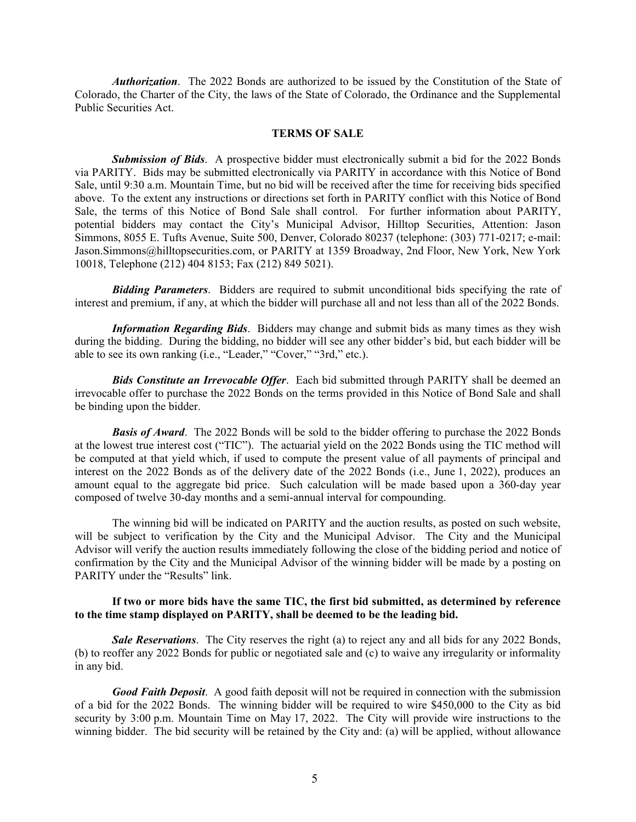*Authorization*. The 2022 Bonds are authorized to be issued by the Constitution of the State of Colorado, the Charter of the City, the laws of the State of Colorado, the Ordinance and the Supplemental Public Securities Act.

#### **TERMS OF SALE**

*Submission of Bids*. A prospective bidder must electronically submit a bid for the 2022 Bonds via PARITY. Bids may be submitted electronically via PARITY in accordance with this Notice of Bond Sale, until 9:30 a.m. Mountain Time, but no bid will be received after the time for receiving bids specified above. To the extent any instructions or directions set forth in PARITY conflict with this Notice of Bond Sale, the terms of this Notice of Bond Sale shall control. For further information about PARITY, potential bidders may contact the City's Municipal Advisor, Hilltop Securities, Attention: Jason Simmons, 8055 E. Tufts Avenue, Suite 500, Denver, Colorado 80237 (telephone: (303) 771-0217; e-mail: Jason.Simmons@hilltopsecurities.com, or PARITY at 1359 Broadway, 2nd Floor, New York, New York 10018, Telephone (212) 404 8153; Fax (212) 849 5021).

*Bidding Parameters*. Bidders are required to submit unconditional bids specifying the rate of interest and premium, if any, at which the bidder will purchase all and not less than all of the 2022 Bonds.

*Information Regarding Bids*. Bidders may change and submit bids as many times as they wish during the bidding. During the bidding, no bidder will see any other bidder's bid, but each bidder will be able to see its own ranking (i.e., "Leader," "Cover," "3rd," etc.).

*Bids Constitute an Irrevocable Offer*. Each bid submitted through PARITY shall be deemed an irrevocable offer to purchase the 2022 Bonds on the terms provided in this Notice of Bond Sale and shall be binding upon the bidder.

*Basis of Award*. The 2022 Bonds will be sold to the bidder offering to purchase the 2022 Bonds at the lowest true interest cost ("TIC"). The actuarial yield on the 2022 Bonds using the TIC method will be computed at that yield which, if used to compute the present value of all payments of principal and interest on the 2022 Bonds as of the delivery date of the 2022 Bonds (i.e., June 1, 2022), produces an amount equal to the aggregate bid price. Such calculation will be made based upon a 360-day year composed of twelve 30-day months and a semi-annual interval for compounding.

The winning bid will be indicated on PARITY and the auction results, as posted on such website, will be subject to verification by the City and the Municipal Advisor. The City and the Municipal Advisor will verify the auction results immediately following the close of the bidding period and notice of confirmation by the City and the Municipal Advisor of the winning bidder will be made by a posting on PARITY under the "Results" link.

### **If two or more bids have the same TIC, the first bid submitted, as determined by reference to the time stamp displayed on PARITY, shall be deemed to be the leading bid.**

*Sale Reservations*. The City reserves the right (a) to reject any and all bids for any 2022 Bonds, (b) to reoffer any 2022 Bonds for public or negotiated sale and (c) to waive any irregularity or informality in any bid.

*Good Faith Deposit*. A good faith deposit will not be required in connection with the submission of a bid for the 2022 Bonds. The winning bidder will be required to wire \$450,000 to the City as bid security by 3:00 p.m. Mountain Time on May 17, 2022. The City will provide wire instructions to the winning bidder. The bid security will be retained by the City and: (a) will be applied, without allowance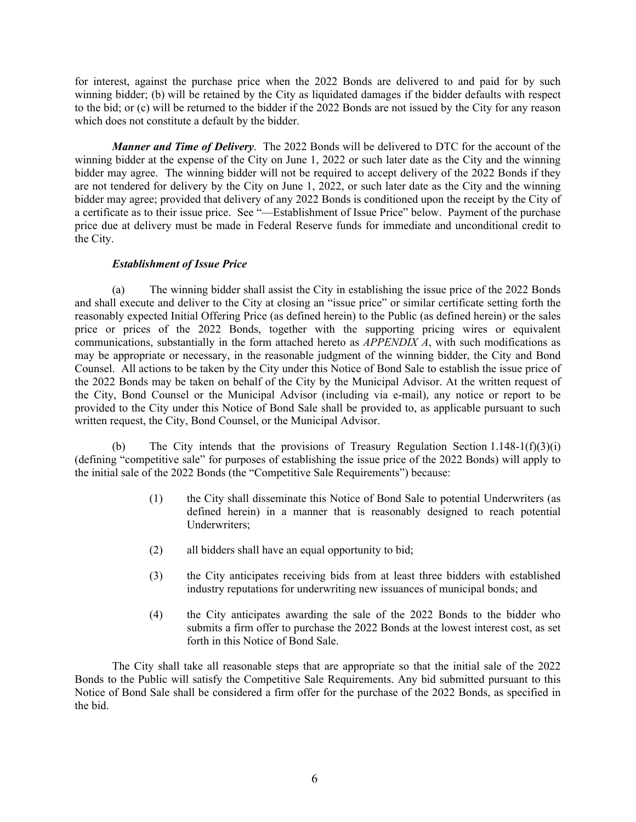for interest, against the purchase price when the 2022 Bonds are delivered to and paid for by such winning bidder; (b) will be retained by the City as liquidated damages if the bidder defaults with respect to the bid; or (c) will be returned to the bidder if the 2022 Bonds are not issued by the City for any reason which does not constitute a default by the bidder.

*Manner and Time of Delivery*. The 2022 Bonds will be delivered to DTC for the account of the winning bidder at the expense of the City on June 1, 2022 or such later date as the City and the winning bidder may agree. The winning bidder will not be required to accept delivery of the 2022 Bonds if they are not tendered for delivery by the City on June 1, 2022, or such later date as the City and the winning bidder may agree; provided that delivery of any 2022 Bonds is conditioned upon the receipt by the City of a certificate as to their issue price. See "—Establishment of Issue Price" below. Payment of the purchase price due at delivery must be made in Federal Reserve funds for immediate and unconditional credit to the City.

## *Establishment of Issue Price*

(a) The winning bidder shall assist the City in establishing the issue price of the 2022 Bonds and shall execute and deliver to the City at closing an "issue price" or similar certificate setting forth the reasonably expected Initial Offering Price (as defined herein) to the Public (as defined herein) or the sales price or prices of the 2022 Bonds, together with the supporting pricing wires or equivalent communications, substantially in the form attached hereto as *APPENDIX A*, with such modifications as may be appropriate or necessary, in the reasonable judgment of the winning bidder, the City and Bond Counsel.All actions to be taken by the City under this Notice of Bond Sale to establish the issue price of the 2022 Bonds may be taken on behalf of the City by the Municipal Advisor. At the written request of the City, Bond Counsel or the Municipal Advisor (including via e-mail), any notice or report to be provided to the City under this Notice of Bond Sale shall be provided to, as applicable pursuant to such written request, the City, Bond Counsel, or the Municipal Advisor.

(b) The City intends that the provisions of Treasury Regulation Section 1.148-1(f)(3)(i) (defining "competitive sale" for purposes of establishing the issue price of the 2022 Bonds) will apply to the initial sale of the 2022 Bonds (the "Competitive Sale Requirements") because:

- (1) the City shall disseminate this Notice of Bond Sale to potential Underwriters (as defined herein) in a manner that is reasonably designed to reach potential Underwriters;
- (2) all bidders shall have an equal opportunity to bid;
- (3) the City anticipates receiving bids from at least three bidders with established industry reputations for underwriting new issuances of municipal bonds; and
- (4) the City anticipates awarding the sale of the 2022 Bonds to the bidder who submits a firm offer to purchase the 2022 Bonds at the lowest interest cost, as set forth in this Notice of Bond Sale.

The City shall take all reasonable steps that are appropriate so that the initial sale of the 2022 Bonds to the Public will satisfy the Competitive Sale Requirements. Any bid submitted pursuant to this Notice of Bond Sale shall be considered a firm offer for the purchase of the 2022 Bonds, as specified in the bid.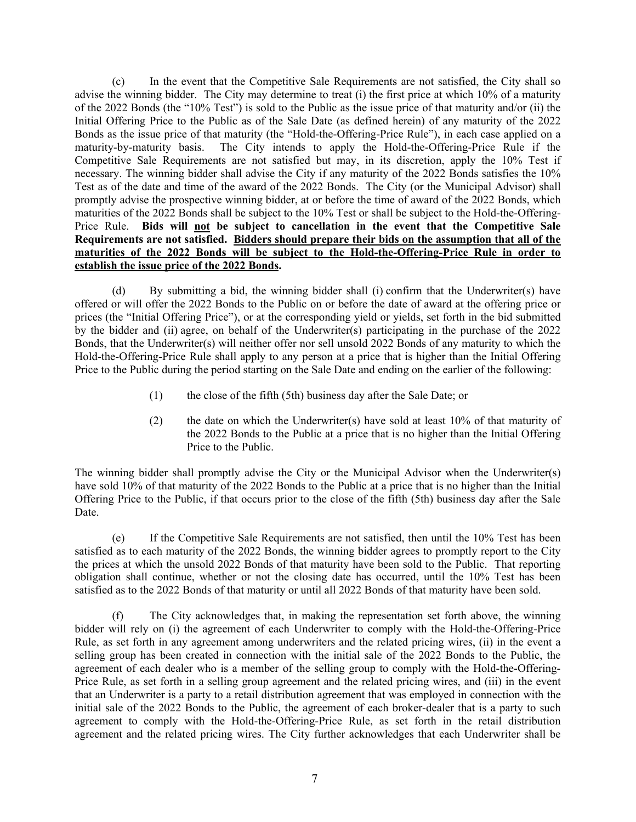(c) In the event that the Competitive Sale Requirements are not satisfied, the City shall so advise the winning bidder. The City may determine to treat (i) the first price at which 10% of a maturity of the 2022 Bonds (the "10% Test") is sold to the Public as the issue price of that maturity and/or (ii) the Initial Offering Price to the Public as of the Sale Date (as defined herein) of any maturity of the 2022 Bonds as the issue price of that maturity (the "Hold-the-Offering-Price Rule"), in each case applied on a maturity-by-maturity basis. The City intends to apply the Hold-the-Offering-Price Rule if the Competitive Sale Requirements are not satisfied but may, in its discretion, apply the 10% Test if necessary. The winning bidder shall advise the City if any maturity of the 2022 Bonds satisfies the 10% Test as of the date and time of the award of the 2022 Bonds. The City (or the Municipal Advisor) shall promptly advise the prospective winning bidder, at or before the time of award of the 2022 Bonds, which maturities of the 2022 Bonds shall be subject to the 10% Test or shall be subject to the Hold-the-Offering-Price Rule. **Bids will not be subject to cancellation in the event that the Competitive Sale Requirements are not satisfied. Bidders should prepare their bids on the assumption that all of the maturities of the 2022 Bonds will be subject to the Hold-the-Offering-Price Rule in order to establish the issue price of the 2022 Bonds.** 

(d) By submitting a bid, the winning bidder shall (i) confirm that the Underwriter(s) have offered or will offer the 2022 Bonds to the Public on or before the date of award at the offering price or prices (the "Initial Offering Price"), or at the corresponding yield or yields, set forth in the bid submitted by the bidder and (ii) agree, on behalf of the Underwriter(s) participating in the purchase of the 2022 Bonds, that the Underwriter(s) will neither offer nor sell unsold 2022 Bonds of any maturity to which the Hold-the-Offering-Price Rule shall apply to any person at a price that is higher than the Initial Offering Price to the Public during the period starting on the Sale Date and ending on the earlier of the following:

- (1) the close of the fifth (5th) business day after the Sale Date; or
- (2) the date on which the Underwriter(s) have sold at least 10% of that maturity of the 2022 Bonds to the Public at a price that is no higher than the Initial Offering Price to the Public.

The winning bidder shall promptly advise the City or the Municipal Advisor when the Underwriter(s) have sold 10% of that maturity of the 2022 Bonds to the Public at a price that is no higher than the Initial Offering Price to the Public, if that occurs prior to the close of the fifth (5th) business day after the Sale Date.

(e) If the Competitive Sale Requirements are not satisfied, then until the 10% Test has been satisfied as to each maturity of the 2022 Bonds, the winning bidder agrees to promptly report to the City the prices at which the unsold 2022 Bonds of that maturity have been sold to the Public. That reporting obligation shall continue, whether or not the closing date has occurred, until the 10% Test has been satisfied as to the 2022 Bonds of that maturity or until all 2022 Bonds of that maturity have been sold.

(f) The City acknowledges that, in making the representation set forth above, the winning bidder will rely on (i) the agreement of each Underwriter to comply with the Hold-the-Offering-Price Rule, as set forth in any agreement among underwriters and the related pricing wires, (ii) in the event a selling group has been created in connection with the initial sale of the 2022 Bonds to the Public, the agreement of each dealer who is a member of the selling group to comply with the Hold-the-Offering-Price Rule, as set forth in a selling group agreement and the related pricing wires, and (iii) in the event that an Underwriter is a party to a retail distribution agreement that was employed in connection with the initial sale of the 2022 Bonds to the Public, the agreement of each broker-dealer that is a party to such agreement to comply with the Hold-the-Offering-Price Rule, as set forth in the retail distribution agreement and the related pricing wires. The City further acknowledges that each Underwriter shall be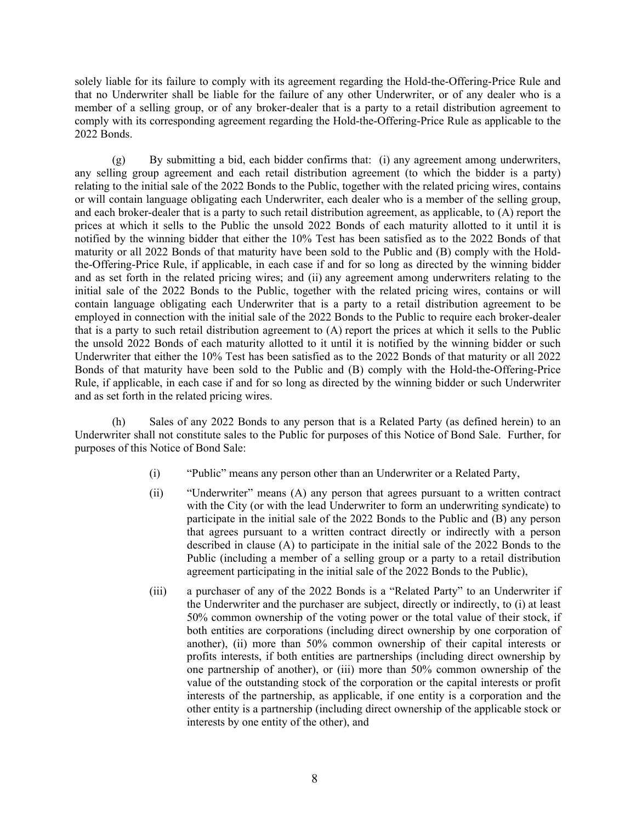solely liable for its failure to comply with its agreement regarding the Hold-the-Offering-Price Rule and that no Underwriter shall be liable for the failure of any other Underwriter, or of any dealer who is a member of a selling group, or of any broker-dealer that is a party to a retail distribution agreement to comply with its corresponding agreement regarding the Hold-the-Offering-Price Rule as applicable to the 2022 Bonds.

(g) By submitting a bid, each bidder confirms that: (i) any agreement among underwriters, any selling group agreement and each retail distribution agreement (to which the bidder is a party) relating to the initial sale of the 2022 Bonds to the Public, together with the related pricing wires, contains or will contain language obligating each Underwriter, each dealer who is a member of the selling group, and each broker-dealer that is a party to such retail distribution agreement, as applicable, to (A) report the prices at which it sells to the Public the unsold 2022 Bonds of each maturity allotted to it until it is notified by the winning bidder that either the 10% Test has been satisfied as to the 2022 Bonds of that maturity or all 2022 Bonds of that maturity have been sold to the Public and (B) comply with the Holdthe-Offering-Price Rule, if applicable, in each case if and for so long as directed by the winning bidder and as set forth in the related pricing wires; and (ii) any agreement among underwriters relating to the initial sale of the 2022 Bonds to the Public, together with the related pricing wires, contains or will contain language obligating each Underwriter that is a party to a retail distribution agreement to be employed in connection with the initial sale of the 2022 Bonds to the Public to require each broker-dealer that is a party to such retail distribution agreement to (A) report the prices at which it sells to the Public the unsold 2022 Bonds of each maturity allotted to it until it is notified by the winning bidder or such Underwriter that either the 10% Test has been satisfied as to the 2022 Bonds of that maturity or all 2022 Bonds of that maturity have been sold to the Public and (B) comply with the Hold-the-Offering-Price Rule, if applicable, in each case if and for so long as directed by the winning bidder or such Underwriter and as set forth in the related pricing wires.

(h) Sales of any 2022 Bonds to any person that is a Related Party (as defined herein) to an Underwriter shall not constitute sales to the Public for purposes of this Notice of Bond Sale. Further, for purposes of this Notice of Bond Sale:

- (i) "Public" means any person other than an Underwriter or a Related Party,
- (ii) "Underwriter" means (A) any person that agrees pursuant to a written contract with the City (or with the lead Underwriter to form an underwriting syndicate) to participate in the initial sale of the 2022 Bonds to the Public and (B) any person that agrees pursuant to a written contract directly or indirectly with a person described in clause (A) to participate in the initial sale of the 2022 Bonds to the Public (including a member of a selling group or a party to a retail distribution agreement participating in the initial sale of the 2022 Bonds to the Public),
- (iii) a purchaser of any of the 2022 Bonds is a "Related Party" to an Underwriter if the Underwriter and the purchaser are subject, directly or indirectly, to (i) at least 50% common ownership of the voting power or the total value of their stock, if both entities are corporations (including direct ownership by one corporation of another), (ii) more than 50% common ownership of their capital interests or profits interests, if both entities are partnerships (including direct ownership by one partnership of another), or (iii) more than 50% common ownership of the value of the outstanding stock of the corporation or the capital interests or profit interests of the partnership, as applicable, if one entity is a corporation and the other entity is a partnership (including direct ownership of the applicable stock or interests by one entity of the other), and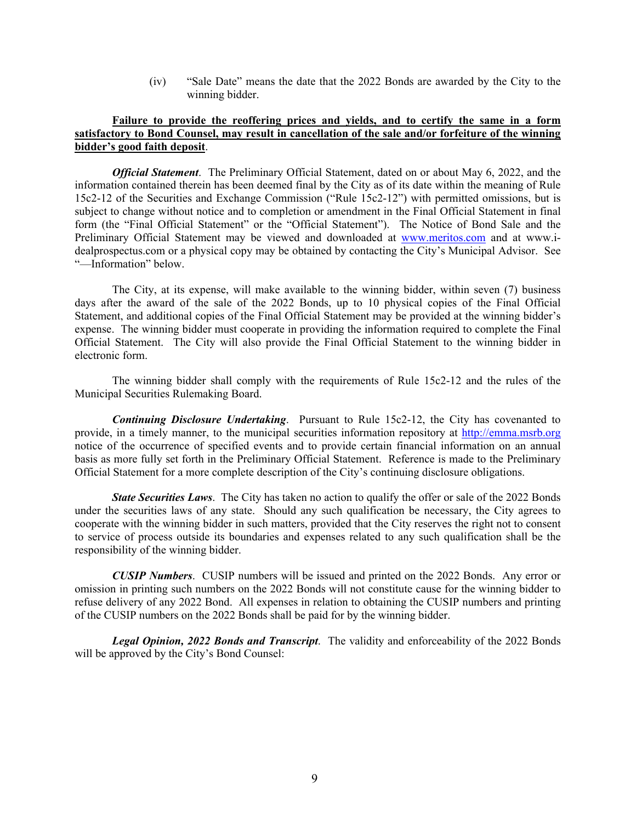(iv) "Sale Date" means the date that the 2022 Bonds are awarded by the City to the winning bidder.

## **Failure to provide the reoffering prices and yields, and to certify the same in a form satisfactory to Bond Counsel, may result in cancellation of the sale and/or forfeiture of the winning bidder's good faith deposit**.

*Official Statement*. The Preliminary Official Statement, dated on or about May 6, 2022, and the information contained therein has been deemed final by the City as of its date within the meaning of Rule 15c2-12 of the Securities and Exchange Commission ("Rule 15c2-12") with permitted omissions, but is subject to change without notice and to completion or amendment in the Final Official Statement in final form (the "Final Official Statement" or the "Official Statement"). The Notice of Bond Sale and the Preliminary Official Statement may be viewed and downloaded at www.meritos.com and at www.idealprospectus.com or a physical copy may be obtained by contacting the City's Municipal Advisor. See "—Information" below.

The City, at its expense, will make available to the winning bidder, within seven (7) business days after the award of the sale of the 2022 Bonds, up to 10 physical copies of the Final Official Statement, and additional copies of the Final Official Statement may be provided at the winning bidder's expense. The winning bidder must cooperate in providing the information required to complete the Final Official Statement. The City will also provide the Final Official Statement to the winning bidder in electronic form.

The winning bidder shall comply with the requirements of Rule 15c2-12 and the rules of the Municipal Securities Rulemaking Board.

*Continuing Disclosure Undertaking*. Pursuant to Rule 15c2-12, the City has covenanted to provide, in a timely manner, to the municipal securities information repository at http://emma.msrb.org notice of the occurrence of specified events and to provide certain financial information on an annual basis as more fully set forth in the Preliminary Official Statement. Reference is made to the Preliminary Official Statement for a more complete description of the City's continuing disclosure obligations.

*State Securities Laws.* The City has taken no action to qualify the offer or sale of the 2022 Bonds under the securities laws of any state. Should any such qualification be necessary, the City agrees to cooperate with the winning bidder in such matters, provided that the City reserves the right not to consent to service of process outside its boundaries and expenses related to any such qualification shall be the responsibility of the winning bidder.

*CUSIP Numbers*. CUSIP numbers will be issued and printed on the 2022 Bonds. Any error or omission in printing such numbers on the 2022 Bonds will not constitute cause for the winning bidder to refuse delivery of any 2022 Bond. All expenses in relation to obtaining the CUSIP numbers and printing of the CUSIP numbers on the 2022 Bonds shall be paid for by the winning bidder.

*Legal Opinion, 2022 Bonds and Transcript*. The validity and enforceability of the 2022 Bonds will be approved by the City's Bond Counsel: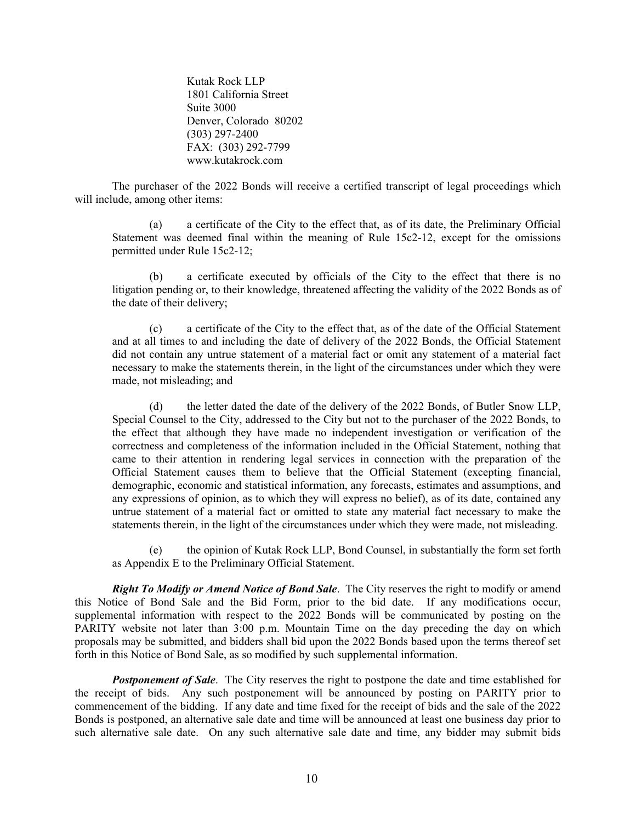Kutak Rock LLP 1801 California Street Suite 3000 Denver, Colorado 80202 (303) 297-2400 FAX: (303) 292-7799 www.kutakrock.com

The purchaser of the 2022 Bonds will receive a certified transcript of legal proceedings which will include, among other items:

(a) a certificate of the City to the effect that, as of its date, the Preliminary Official Statement was deemed final within the meaning of Rule 15c2-12, except for the omissions permitted under Rule 15c2-12;

(b) a certificate executed by officials of the City to the effect that there is no litigation pending or, to their knowledge, threatened affecting the validity of the 2022 Bonds as of the date of their delivery;

(c) a certificate of the City to the effect that, as of the date of the Official Statement and at all times to and including the date of delivery of the 2022 Bonds, the Official Statement did not contain any untrue statement of a material fact or omit any statement of a material fact necessary to make the statements therein, in the light of the circumstances under which they were made, not misleading; and

(d) the letter dated the date of the delivery of the 2022 Bonds, of Butler Snow LLP, Special Counsel to the City, addressed to the City but not to the purchaser of the 2022 Bonds, to the effect that although they have made no independent investigation or verification of the correctness and completeness of the information included in the Official Statement, nothing that came to their attention in rendering legal services in connection with the preparation of the Official Statement causes them to believe that the Official Statement (excepting financial, demographic, economic and statistical information, any forecasts, estimates and assumptions, and any expressions of opinion, as to which they will express no belief), as of its date, contained any untrue statement of a material fact or omitted to state any material fact necessary to make the statements therein, in the light of the circumstances under which they were made, not misleading.

(e) the opinion of Kutak Rock LLP, Bond Counsel, in substantially the form set forth as Appendix E to the Preliminary Official Statement.

*Right To Modify or Amend Notice of Bond Sale*. The City reserves the right to modify or amend this Notice of Bond Sale and the Bid Form, prior to the bid date. If any modifications occur, supplemental information with respect to the 2022 Bonds will be communicated by posting on the PARITY website not later than 3:00 p.m. Mountain Time on the day preceding the day on which proposals may be submitted, and bidders shall bid upon the 2022 Bonds based upon the terms thereof set forth in this Notice of Bond Sale, as so modified by such supplemental information.

**Postponement of Sale.** The City reserves the right to postpone the date and time established for the receipt of bids. Any such postponement will be announced by posting on PARITY prior to commencement of the bidding. If any date and time fixed for the receipt of bids and the sale of the 2022 Bonds is postponed, an alternative sale date and time will be announced at least one business day prior to such alternative sale date. On any such alternative sale date and time, any bidder may submit bids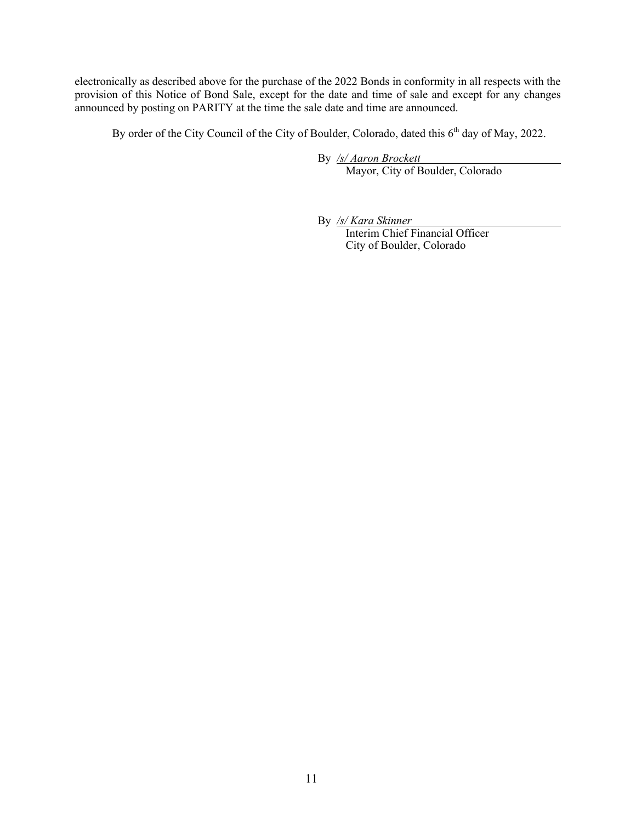electronically as described above for the purchase of the 2022 Bonds in conformity in all respects with the provision of this Notice of Bond Sale, except for the date and time of sale and except for any changes announced by posting on PARITY at the time the sale date and time are announced.

By order of the City Council of the City of Boulder, Colorado, dated this 6<sup>th</sup> day of May, 2022.

By */s/ Aaron Brockett*  Mayor, City of Boulder, Colorado

By */s/ Kara Skinner* 

 Interim Chief Financial Officer City of Boulder, Colorado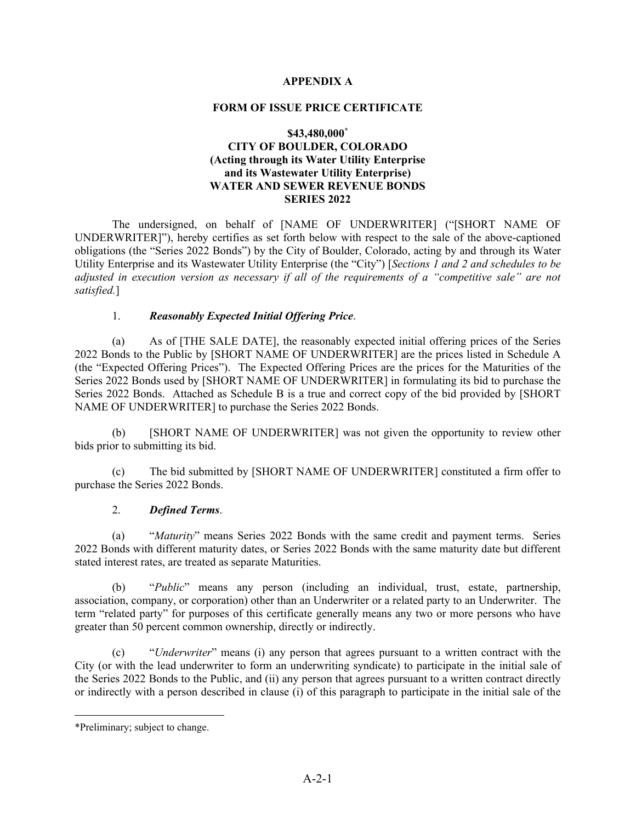# **APPENDIX A**

### **FORM OF ISSUE PRICE CERTIFICATE**

# **\$43,480,000\* CITY OF BOULDER, COLORADO (Acting through its Water Utility Enterprise and its Wastewater Utility Enterprise) WATER AND SEWER REVENUE BONDS SERIES 2022**

The undersigned, on behalf of [NAME OF UNDERWRITER] ("[SHORT NAME OF UNDERWRITER]"), hereby certifies as set forth below with respect to the sale of the above-captioned obligations (the "Series 2022 Bonds") by the City of Boulder, Colorado, acting by and through its Water Utility Enterprise and its Wastewater Utility Enterprise (the "City") [*Sections 1 and 2 and schedules to be adjusted in execution version as necessary if all of the requirements of a "competitive sale" are not satisfied.*]

### 1. *Reasonably Expected Initial Offering Price*.

(a) As of [THE SALE DATE], the reasonably expected initial offering prices of the Series 2022 Bonds to the Public by [SHORT NAME OF UNDERWRITER] are the prices listed in Schedule A (the "Expected Offering Prices"). The Expected Offering Prices are the prices for the Maturities of the Series 2022 Bonds used by [SHORT NAME OF UNDERWRITER] in formulating its bid to purchase the Series 2022 Bonds. Attached as Schedule B is a true and correct copy of the bid provided by [SHORT NAME OF UNDERWRITER] to purchase the Series 2022 Bonds.

 (b) [SHORT NAME OF UNDERWRITER] was not given the opportunity to review other bids prior to submitting its bid.

 (c) The bid submitted by [SHORT NAME OF UNDERWRITER] constituted a firm offer to purchase the Series 2022 Bonds.

## 2. *Defined Terms*.

 (a) "*Maturity*" means Series 2022 Bonds with the same credit and payment terms. Series 2022 Bonds with different maturity dates, or Series 2022 Bonds with the same maturity date but different stated interest rates, are treated as separate Maturities.

(b) "*Public*" means any person (including an individual, trust, estate, partnership, association, company, or corporation) other than an Underwriter or a related party to an Underwriter. The term "related party" for purposes of this certificate generally means any two or more persons who have greater than 50 percent common ownership, directly or indirectly.

 (c) "*Underwriter*" means (i) any person that agrees pursuant to a written contract with the City (or with the lead underwriter to form an underwriting syndicate) to participate in the initial sale of the Series 2022 Bonds to the Public, and (ii) any person that agrees pursuant to a written contract directly or indirectly with a person described in clause (i) of this paragraph to participate in the initial sale of the

<sup>\*</sup>Preliminary; subject to change.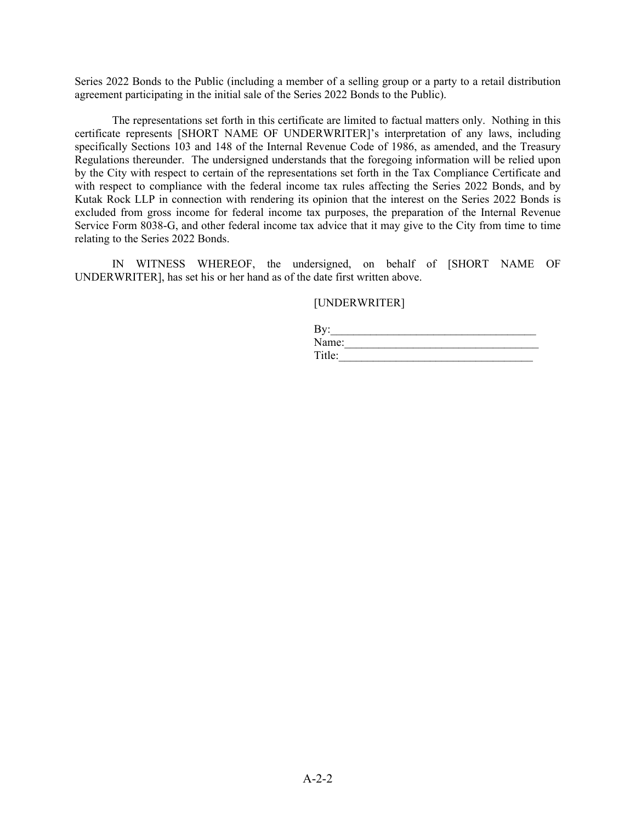Series 2022 Bonds to the Public (including a member of a selling group or a party to a retail distribution agreement participating in the initial sale of the Series 2022 Bonds to the Public).

The representations set forth in this certificate are limited to factual matters only. Nothing in this certificate represents [SHORT NAME OF UNDERWRITER]'s interpretation of any laws, including specifically Sections 103 and 148 of the Internal Revenue Code of 1986, as amended, and the Treasury Regulations thereunder. The undersigned understands that the foregoing information will be relied upon by the City with respect to certain of the representations set forth in the Tax Compliance Certificate and with respect to compliance with the federal income tax rules affecting the Series 2022 Bonds, and by Kutak Rock LLP in connection with rendering its opinion that the interest on the Series 2022 Bonds is excluded from gross income for federal income tax purposes, the preparation of the Internal Revenue Service Form 8038-G, and other federal income tax advice that it may give to the City from time to time relating to the Series 2022 Bonds.

IN WITNESS WHEREOF, the undersigned, on behalf of [SHORT NAME OF UNDERWRITER], has set his or her hand as of the date first written above.

[UNDERWRITER]

| By:    |  |  |
|--------|--|--|
| Name:  |  |  |
| Title: |  |  |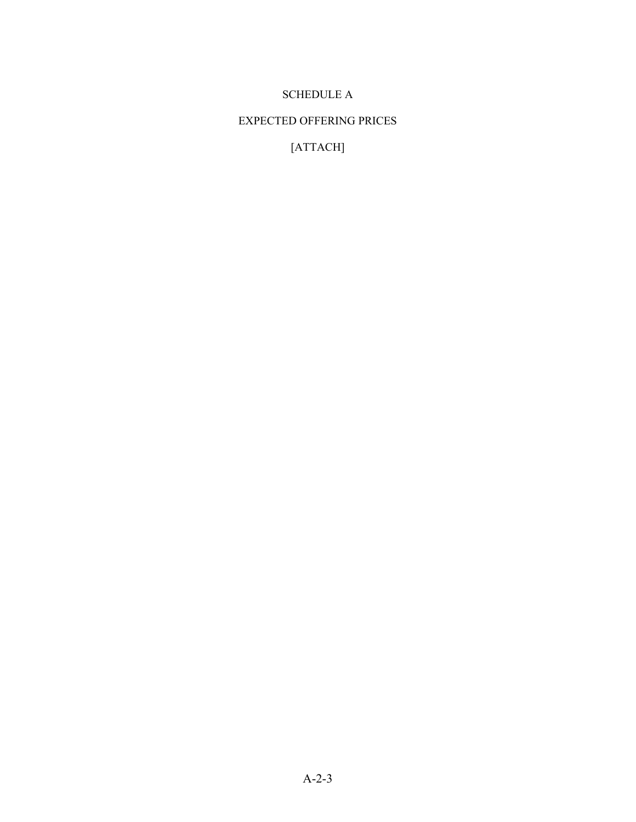# SCHEDULE A

# EXPECTED OFFERING PRICES

[ATTACH]